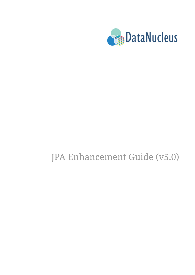

# JPA Enhancement Guide (v5.0)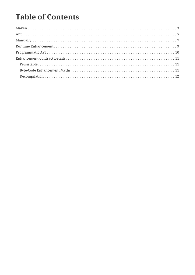## **Table of Contents**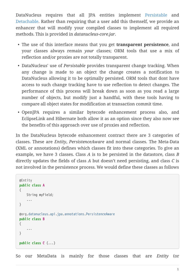DataNucleus requires that all JPA entities implement [Persistable](http://www.datanucleus.org/javadocs/core/5.0/org/datanucleus/enhancement/Persistable.html) and [Detachable](http://www.datanucleus.org/javadocs/core/5.0/org/datanucleus/enhancement/Detachable.html). Rather than requiring that a user add this themself, we provide an enhancer that will modify your compiled classes to implement all required methods. This is provided in *datanucleus-core.jar*.

- The use of this interface means that you get **transparent persistence**, and your classes always remain *your* classes; ORM tools that use a mix of reflection and/or proxies are not totally transparent.
- DataNucleus' use of *Persistable* provides transparent change tracking. When any change is made to an object the change creates a notification to DataNucleus allowing it to be optimally persisted. ORM tools that dont have access to such change tracking have to use reflection to detect changes. The performance of this process will break down as soon as you read a large number of objects, but modify just a handful, with these tools having to compare all object states for modification at transaction commit time.
- OpenJPA requires a similar bytecode enhancement process also, and EclipseLink and Hibernate both allow it as an option since they also now see the benefits of this approach over use of proxies and reflection.

In the DataNucleus bytecode enhancement contract there are 3 categories of classes. These are *Entity*, *PersistenceAware* and normal classes. The Meta-Data (XML or annotations) defines which classes fit into these categories. To give an example, we have 3 classes. Class *A* is to be persisted in the datastore, class *B* directly updates the fields of class *A* but doesn't need persisting, and class *C* is not involved in the persistence process. We would define these classes as follows

```
@Entity
public class A
{
      String myField;
      ...
}
@org.datanucleus.api.jpa.annotations.PersistenceAware
public class B
{
      ...
}
public class C {...}
```
So our MetaData is mainly for those classes that are *Entity* (or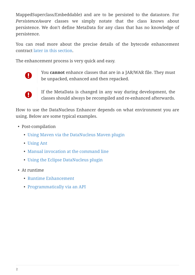MappedSuperclass/Embeddable) and are to be persisted to the datastore. For *PersistenceAware* classes we simply notate that the class knows about persistence. We don't define MetaData for any class that has no knowledge of persistence.

You can read more about the precise details of the bytecode enhancement contract [later in this section.](enhancer.html#enhancement_contract)

The enhancement process is very quick and easy.



You **cannot** enhance classes that are in a JAR/WAR file. They must be unpacked, enhanced and then repacked.



If the MetaData is changed in any way during development, the classes should always be recompiled and re-enhanced afterwards.

How to use the DataNucleus Enhancer depends on what environment you are using. Below are some typical examples.

- Post-compilation
	- [Using Maven via the DataNucleus Maven plugin](#page-4-0)
	- [Using Ant](#page-6-0)
	- [Manual invocation at the command line](#page-8-0)
	- [Using the Eclipse DataNucleus plugin](tools.html#eclipse)
- At runtime
	- [Runtime Enhancement](#page-10-0)
	- [Programmatically via an API](#page-11-0)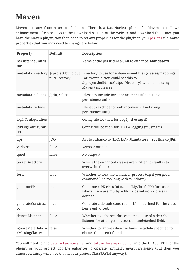### <span id="page-4-0"></span>**Maven**

Maven operates from a series of plugins. There is a DataNucleus plugin for Maven that allows enhancement of classes. Go to the Download section of the website and download this. Once you have the Maven plugin, you then need to set any properties for the plugin in your pom.xml file. Some properties that you may need to change are below

| <b>Property</b>                     | <b>Default</b>                         | <b>Description</b>                                                                                                                                                                                                    |  |  |
|-------------------------------------|----------------------------------------|-----------------------------------------------------------------------------------------------------------------------------------------------------------------------------------------------------------------------|--|--|
| persistenceUnitNa<br>me             |                                        | Name of the persistence-unit to enhance. Mandatory                                                                                                                                                                    |  |  |
|                                     | putDirectory}                          | metadataDirectory \${project.build.out Directory to use for enhancement files (classes/mappings).<br>For example, you could set this to<br>\${project.build.testOutputDirectory} when enhancing<br>Maven test classes |  |  |
| metadataIncludes                    | $\lambda$ <b>jdo</b> , $\lambda$ class | Fileset to include for enhancement (if not using<br>persistence-unit)                                                                                                                                                 |  |  |
| metadataExcludes                    |                                        | Fileset to exclude for enhancement (if not using<br>persistence-unit)                                                                                                                                                 |  |  |
| log4jConfiguration                  |                                        | Config file location for Log4J (if using it)                                                                                                                                                                          |  |  |
| jdkLogConfigurati<br>on             |                                        | Config file location for JDK1.4 logging (if using it)                                                                                                                                                                 |  |  |
| api                                 | JD <sub>O</sub>                        | API to enhance to (JDO, JPA). Mandatory : Set this to JPA                                                                                                                                                             |  |  |
| verbose                             | false                                  | Verbose output?                                                                                                                                                                                                       |  |  |
| quiet                               | false                                  | No output?                                                                                                                                                                                                            |  |  |
| targetDirectory                     |                                        | Where the enhanced classes are written (default is to<br>overwrite them)                                                                                                                                              |  |  |
| fork                                | true                                   | Whether to fork the enhancer process (e.g if you get a<br>command line too long with Windows).                                                                                                                        |  |  |
| generatePK                          | true                                   | Generate a PK class (of name {MyClass}_PK) for cases<br>where there are multiple PK fields yet no PK class is<br>defined.                                                                                             |  |  |
| generateConstruct true<br>or        |                                        | Generate a default constructor if not defined for the class<br>being enhanced.                                                                                                                                        |  |  |
| detachListener                      | false                                  | Whether to enhance classes to make use of a detach<br>listener for attempts to access an undetached field.                                                                                                            |  |  |
| ignoreMetaDataFo<br>rMissingClasses | false                                  | Whether to ignore when we have metadata specified for<br>classes that aren't found                                                                                                                                    |  |  |

You will need to add datanucleus-core.jar and datanucleus-api-jpa.jar into the CLASSPATH (of the plugin, or your project) for the enhancer to operate. Similarly *javax.persistence* (but then you almost certainly will have that in your project CLASSPATH anyway).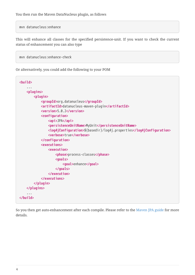mvn datanucleus:enhance

This will enhance all classes for the specified persistence-unit. If you want to check the current status of enhancement you can also type

```
mvn datanucleus:enhance-check
```
Or alternatively, you could add the following to your POM

| $\sim$ $\sim$ $\sim$                                                  |
|-----------------------------------------------------------------------|
| <plugins></plugins>                                                   |
| <plugin></plugin>                                                     |
| <groupid>org.datanucleus</groupid>                                    |
| <artifactid>datanucleus-maven-plugin</artifactid>                     |
| <version>5.0.2</version>                                              |
| <configuration></configuration>                                       |
| <api>JPA</api>                                                        |
| <persistenceunitname>MyUnit</persistenceunitname>                     |
| <log4jconfiguration>\${basedir}/log4j.properties</log4jconfiguration> |
| <verbose>true</verbose>                                               |
|                                                                       |
| <executions></executions>                                             |
| <execution></execution>                                               |
| <phase>process-classes</phase>                                        |
| <goals></goals>                                                       |
| <goal>enhance</goal>                                                  |
|                                                                       |
|                                                                       |
|                                                                       |
|                                                                       |
|                                                                       |
|                                                                       |
|                                                                       |
|                                                                       |

So you then get auto-enhancement after each compile. Please refer to the [Maven JPA guide](tools.html#maven) for more details.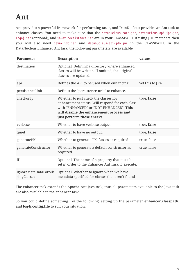## <span id="page-6-0"></span>**Ant**

Ant provides a powerful framework for performing tasks, and DataNucleus provides an Ant task to enhance classes. You need to make sure that the datanucleus-core.jar, datanucleus-api-jpa.jar, log4j.jar (optional), and javax.persistence.jar are in your CLASSPATH. If using JDO metadata then you will also need javax.jdo.jar and datanucleus-api-jdo.jar in the CLASSPATH. In the DataNucleus Enhancer Ant task, the following parameters are available

| <b>Parameter</b>                    | <b>Description</b>                                                                                                                                                                                            | values                 |
|-------------------------------------|---------------------------------------------------------------------------------------------------------------------------------------------------------------------------------------------------------------|------------------------|
| destination                         | Optional. Defining a directory where enhanced<br>classes will be written. If omitted, the original<br>classes are updated.                                                                                    |                        |
| api                                 | Defines the API to be used when enhancing                                                                                                                                                                     | Set this to <b>JPA</b> |
| persistenceUnit                     | Defines the "persistence-unit" to enhance.                                                                                                                                                                    |                        |
| checkonly                           | Whether to just check the classes for<br>enhancement status. Will respond for each class<br>with "ENHANCED" or "NOT ENHANCED". This<br>will disable the enhancement process and<br>just perform these checks. | true, false            |
| verbose                             | Whether to have verbose output.                                                                                                                                                                               | true, false            |
| quiet                               | Whether to have no output.                                                                                                                                                                                    | true, false            |
| generatePK                          | Whether to generate PK classes as required.                                                                                                                                                                   | true, false            |
| generateConstructor                 | Whether to generate a default constructor as<br>required.                                                                                                                                                     | true, false            |
| if                                  | Optional. The name of a property that must be<br>set in order to the Enhancer Ant Task to execute.                                                                                                            |                        |
| ignoreMetaDataForMis<br>singClasses | Optional. Whether to ignore when we have<br>metadata specified for classes that aren't found                                                                                                                  |                        |

The enhancer task extends the Apache Ant Java task, thus all parameters available to the Java task are also available to the enhancer task.

So you could define something *like* the following, setting up the parameter **enhancer.classpath**, and **log4j.config.file** to suit your situation.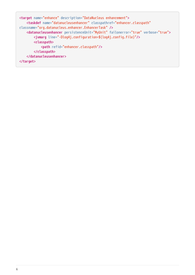```
<target name="enhance" description="DataNucleus enhancement">
      <taskdef name="datanucleusenhancer" classpathref="enhancer.classpath"
classname="org.datanucleus.enhancer.EnhancerTask" />
      <datanucleusenhancer persistenceUnit="MyUnit" failonerror="true" verbose="true">
          <jvmarg line="-Dlog4j.configuration=${log4j.config.file}"/>
          <classpath>
              <path refid="enhancer.classpath"/>
          </classpath>
      </datanucleusenhancer>
</target>
```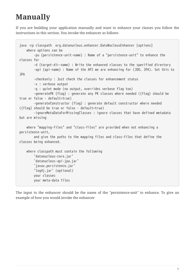## <span id="page-8-0"></span>**Manually**

If you are building your application manually and want to enhance your classes you follow the instructions in this section. You invoke the enhancer as follows

```
java -cp classpath org.datanucleus.enhancer.DataNucleusEnhancer [options]
      where options can be
          -pu {persistence-unit-name} : Name of a "persistence-unit" to enhance the
classes for
          -d {target-dir-name} : Write the enhanced classes to the specified directory
          -api {api-name} : Name of the API we are enhancing for (JDO, JPA). Set this to
JPA
          -checkonly : Just check the classes for enhancement status
          -v : verbose output
          -q : quiet mode (no output, overrides verbose flag too)
          -generatePK {flag} : generate any PK classes where needed ({flag} should be
true or false - default=true)
          -generateConstructor {flag} : generate default constructor where needed
({flag} should be true or false - default=true)
          -ignoreMetaDataForMissingClasses : ignore classes that have defined metadata
but are missing
     where "mapping-files" and "class-files" are provided when not enhancing a
persistence-unit,
          and give the paths to the mapping files and class-files that define the
classes being enhanced.
      where classpath must contain the following
          `datanucleus-core.jar`
          `datanucleus-api-jpa.jar`
          `javax.persistence.jar`
          `log4j.jar` (optional)
          your classes
          your meta-data files
```
The input to the enhancer should be the name of the "persistence-unit" to enhance. To give an example of how you would invoke the enhancer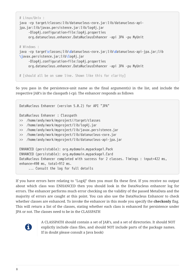```
# Linux/Unix :
java -cp target/classes:lib/datanucleus-core.jar:lib/datanucleus-api-
jpa.jar:lib/javax.persistence.jar:lib/log4j.jar
       -Dlog4j.configuration=file:log4j.properties
       org.datanucleus.enhancer.DataNucleusEnhancer -api JPA -pu MyUnit
# Windows :
java -cp target\classes;lib\datanucleus-core.jar;lib\datanucleus-api-jpa.jar;lib
\javax.persistence.jar;lib\log4j.jar
       -Dlog4j.configuration=file:log4j.properties
       org.datanucleus.enhancer.DataNucleusEnhancer -api JPA -pu MyUnit
# [should all be on same line. Shown like this for clarity]
```
So you pass in the persistence-unit name as the final argument(s) in the list, and include the respective JAR's in the classpath (-cp). The enhancer responds as follows

```
DataNucleus Enhancer (version 5.0.2) for API "JPA"
DataNucleus Enhancer : Classpath
>> /home/andy/work/myproject//target/classes
>> /home/andy/work/myproject/lib/log4j.jar
>> /home/andy/work/myproject/lib/javax.persistence.jar
>> /home/andy/work/myproject/lib/datanucleus-core.jar
>> /home/andy/work/myproject/lib/datanucleus-api-jpa.jar
ENHANCED (persistable): org.mydomain.mypackage1.Pack
ENHANCED (persistable): org.mydomain.mypackage1.Card
DataNucleus Enhancer completed with success for 2 classes. Timings : input=422 ms,
enhance=490 ms, total=912 ms.
       ... Consult the log for full details
```
If you have errors here relating to "Log4J" then you must fix these first. If you receive no output about which class was ENHANCED then you should look in the DataNucleus enhancer log for errors. The enhancer performs much error checking on the validity of the passed MetaData and the majority of errors are caught at this point. You can also use the DataNucleus Enhancer to check whether classes are enhanced. To invoke the enhancer in this mode you specify the **checkonly** flag. This will return a list of the classes, stating whether each class is enhanced for persistence under JPA or not. The classes need to be in the CLASSPATH



A CLASSPATH should contain a set of JAR's, and a set of directories. It should NOT explictly include class files, and should NOT include parts of the package names. If in doubt please consult a Java book)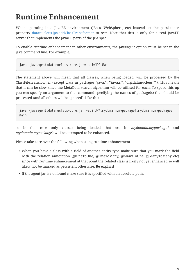### <span id="page-10-0"></span>**Runtime Enhancement**

When operating in a JavaEE environment (JBoss, WebSphere, etc) instead set the persistence property [datanucleus.jpa.addClassTransformer](persistence.html#emf_props_dn_emf) to *true*. Note that this is only for a real JavaEE server that implements the JavaEE parts of the JPA spec.

To enable runtime enhancement in other environments, the *javaagent* option must be set in the java command line. For example,

```
java -javaagent:datanucleus-core.jar=-api=JPA Main
```
The statement above will mean that all classes, when being loaded, will be processed by the ClassFileTransformer (except class in packages "java.**", "javax.**", "org.datanucleus.\*"). This means that it can be slow since the MetaData search algorithm will be utilised for each. To speed this up you can specify an argument to that command specifying the names of package(s) that should be processed (and all others will be ignored). Like this

java -javaagent:datanucleus-core.jar=-api=JPA,mydomain.mypackage1,mydomain.mypackage2 Main

so in this case only classes being loaded that are in *mydomain.mypackage1* and *mydomain.mypackage2* will be attempted to be enhanced.

Please take care over the following when using runtime enhancement

- When you have a class with a field of another entity type make sure that you mark the field with the relation annotation (@OneToOne, @OneToMany, @ManyToOne, @ManyToMany etc) since with runtime enhancement at that point the related class is likely not yet enhanced so will likely not be marked as persistent otherwise. **Be explicit**
- If the agent jar is not found make sure it is specified with an absolute path.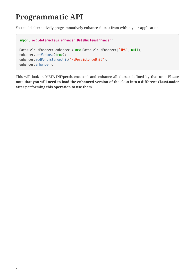### <span id="page-11-0"></span>**Programmatic API**

You could alternatively programmatively enhance classes from within your application.

```
import org.datanucleus.enhancer.DataNucleusEnhancer;
DataNucleusEnhancer enhancer = new DataNucleusEnhancer("JPA", null);
enhancer.setVerbose(true);
enhancer.addPersistenceUnit("MyPersistenceUnit");
enhancer.enhance();
```
This will look in META-INF/persistence.xml and enhance all classes defined by that unit. **Please note that you will need to load the enhanced version of the class into a different ClassLoader after performing this operation to use them**.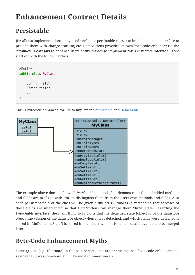## <span id="page-12-0"></span>**Enhancement Contract Details**

### <span id="page-12-1"></span>**Persistable**

JPA allows implementations to bytecode-enhance persistable classes to implement some interface to provide them with change tracking etc. DataNucleus provides its own byte-code enhancer (in the *datanucleus-core.jar*) to enhance users entity classes to implement this *Persistable* interface. If we start off with the following class

```
@Entity
public class MyClass
{
      String field1;
      String field2;
      ...
}
```
This is bytecode enhanced for JPA to implement [Persistable](http://www.datanucleus.org/javadocs/core/5.0/org/datanucleus/enhancement/Persistable.html) and [Detachable](http://www.datanucleus.org/javadocs/core/5.0/org/datanucleus/enhancement/Detachable.html).



The example above doesn't show all *Persistable* methods, but demonstrates that all added methods and fields are prefixed with "dn" to distinguish them from the users own methods and fields. Also each persistent field of the class will be given a dnGetXXX, dnSetXXX method so that accesses of these fields are intercepted so that DataNucleus can manage their "dirty" state. Regarding the *Detachable* interface, the main thing to know is that the detached state (object id of the datastore object, the version of the datastore object when it was detached, and which fields were detached is stored in "dnDetachedState") is stored in the object when it is detached, and available to be merged later on.

#### <span id="page-12-2"></span>**Byte-Code Enhancement Myths**

Some groups (e.g Hibernate) in the past perpetuated arguments against "byte-code enhancement" saying that it was somehow 'evil'. The most common were :-